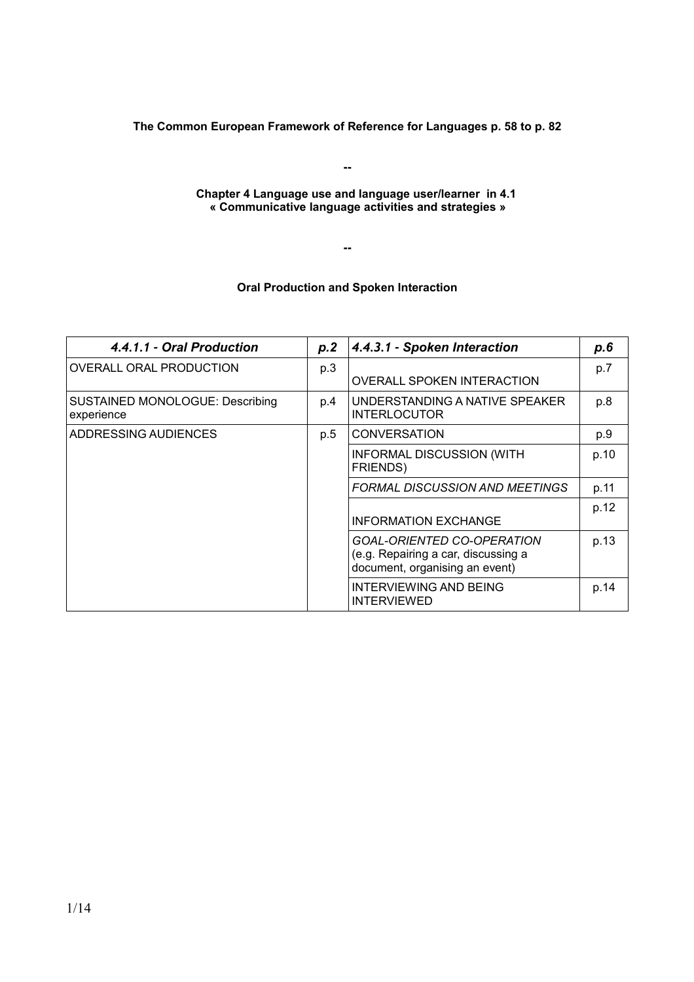**The Common European Framework of Reference for Languages p. 58 to p. 82**

**--**

**Chapter 4 Language use and language user/learner in 4.1 « Communicative language activities and strategies »**

**--**

# **Oral Production and Spoken Interaction**

| 4.4.1.1 - Oral Production                     | p.2 | 4.4.3.1 - Spoken Interaction                                                                               | p.6  |
|-----------------------------------------------|-----|------------------------------------------------------------------------------------------------------------|------|
| OVERALL ORAL PRODUCTION                       | p.3 | <b>OVERALL SPOKEN INTERACTION</b>                                                                          | p.7  |
| SUSTAINED MONOLOGUE: Describing<br>experience | p.4 | UNDERSTANDING A NATIVE SPEAKER<br><b>INTERLOCUTOR</b>                                                      | p.8  |
| ADDRESSING AUDIENCES                          | p.5 | <b>CONVERSATION</b>                                                                                        | p.9  |
|                                               |     | <b>INFORMAL DISCUSSION (WITH</b><br>FRIENDS)                                                               | p.10 |
|                                               |     | FORMAL DISCUSSION AND MEETINGS                                                                             | p.11 |
|                                               |     | <b>INFORMATION EXCHANGE</b>                                                                                | p.12 |
|                                               |     | <b>GOAL-ORIENTED CO-OPERATION</b><br>(e.g. Repairing a car, discussing a<br>document, organising an event) | p.13 |
|                                               |     | INTERVIEWING AND BEING<br><b>INTERVIEWED</b>                                                               | p.14 |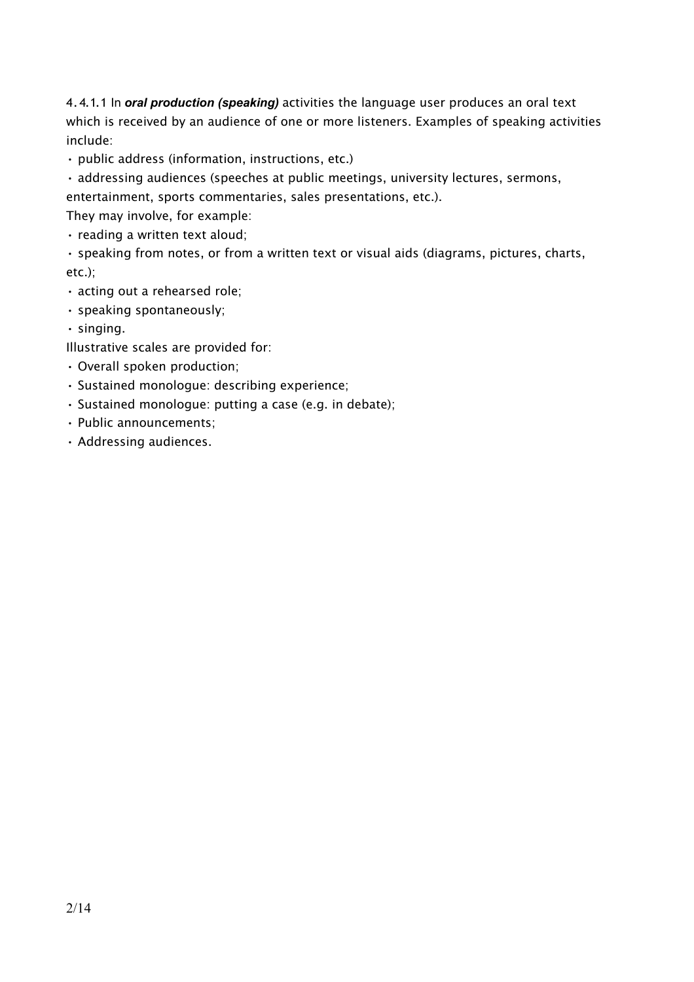4.4.1.1 In *oral production (speaking)* activities the language user produces an oral text which is received by an audience of one or more listeners. Examples of speaking activities include:

• public address (information, instructions, etc.)

• addressing audiences (speeches at public meetings, university lectures, sermons, entertainment, sports commentaries, sales presentations, etc.).

They may involve, for example:

• reading a written text aloud;

• speaking from notes, or from a written text or visual aids (diagrams, pictures, charts, etc.);

- acting out a rehearsed role;
- speaking spontaneously;
- singing.

Illustrative scales are provided for:

- Overall spoken production;
- Sustained monologue: describing experience;
- Sustained monologue: putting a case (e.g. in debate);
- Public announcements;
- Addressing audiences.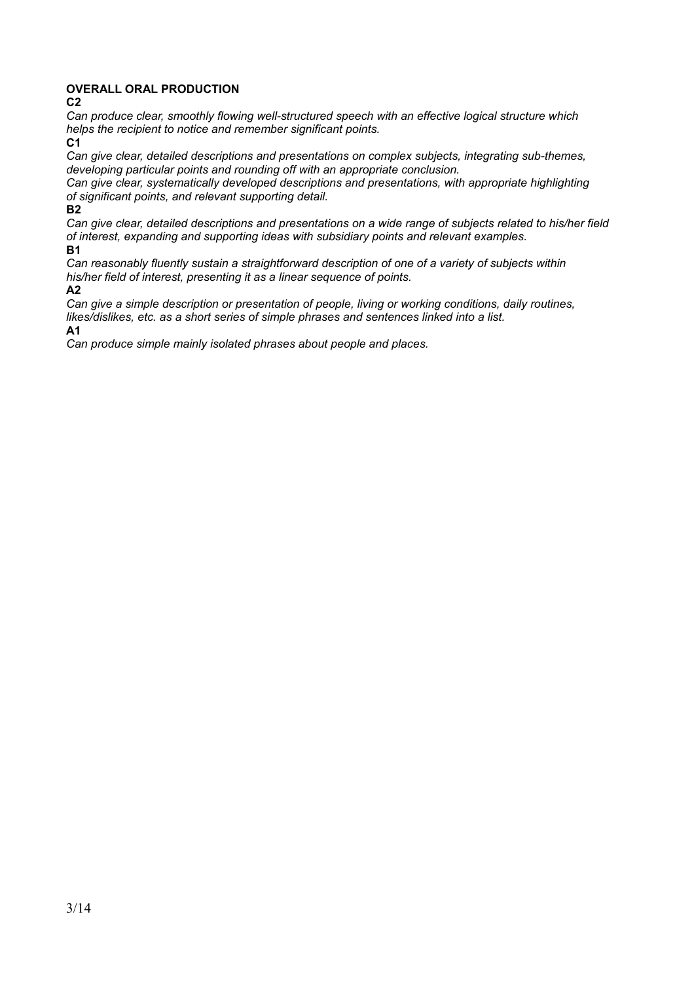## **OVERALL ORAL PRODUCTION**

#### **C2**

*Can produce clear, smoothly flowing well-structured speech with an effective logical structure which helps the recipient to notice and remember significant points.* **C1**

*Can give clear, detailed descriptions and presentations on complex subjects, integrating sub-themes, developing particular points and rounding off with an appropriate conclusion.*

*Can give clear, systematically developed descriptions and presentations, with appropriate highlighting of significant points, and relevant supporting detail.*

### **B2**

*Can give clear, detailed descriptions and presentations on a wide range of subjects related to his/her field of interest, expanding and supporting ideas with subsidiary points and relevant examples.*

# **B1**

*Can reasonably fluently sustain a straightforward description of one of a variety of subjects within his/her field of interest, presenting it as a linear sequence of points.*

### **A2**

*Can give a simple description or presentation of people, living or working conditions, daily routines, likes/dislikes, etc. as a short series of simple phrases and sentences linked into a list.*

# **A1**

*Can produce simple mainly isolated phrases about people and places.*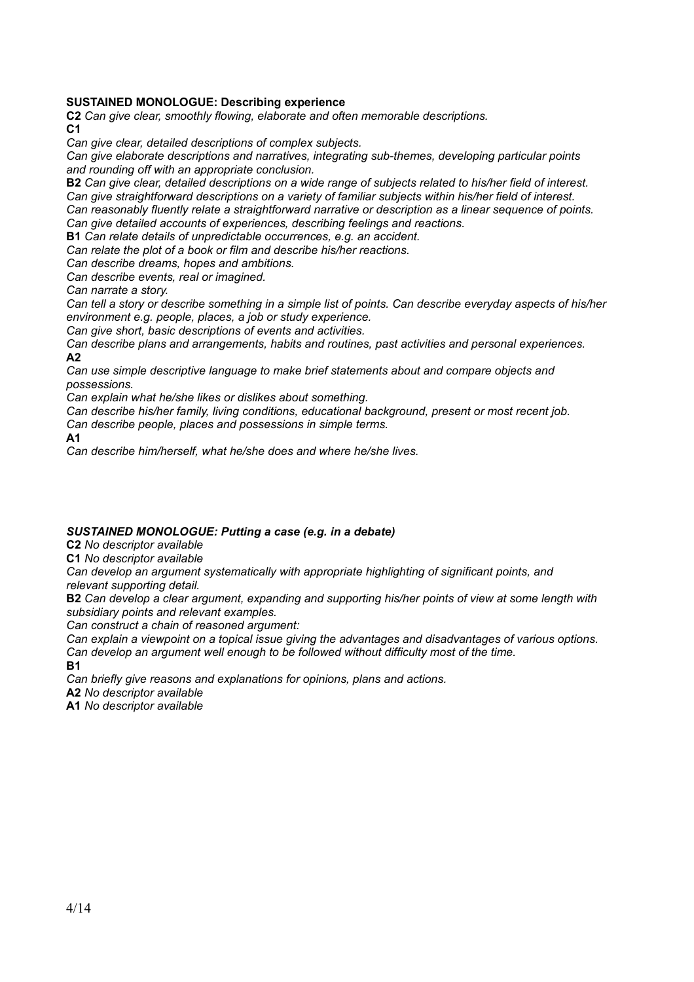#### **SUSTAINED MONOLOGUE: Describing experience**

**C2** *Can give clear, smoothly flowing, elaborate and often memorable descriptions.*

**C1**

*Can give clear, detailed descriptions of complex subjects.*

*Can give elaborate descriptions and narratives, integrating sub-themes, developing particular points and rounding off with an appropriate conclusion.*

**B2** *Can give clear, detailed descriptions on a wide range of subjects related to his/her field of interest. Can give straightforward descriptions on a variety of familiar subjects within his/her field of interest. Can reasonably fluently relate a straightforward narrative or description as a linear sequence of points.*

*Can give detailed accounts of experiences, describing feelings and reactions.*

**B1** *Can relate details of unpredictable occurrences, e.g. an accident.*

*Can relate the plot of a book or film and describe his/her reactions.*

*Can describe dreams, hopes and ambitions.*

*Can describe events, real or imagined.*

*Can narrate a story.*

*Can tell a story or describe something in a simple list of points. Can describe everyday aspects of his/her environment e.g. people, places, a job or study experience.*

*Can give short, basic descriptions of events and activities.*

*Can describe plans and arrangements, habits and routines, past activities and personal experiences.* **A2** 

*Can use simple descriptive language to make brief statements about and compare objects and possessions.*

*Can explain what he/she likes or dislikes about something.*

*Can describe his/her family, living conditions, educational background, present or most recent job. Can describe people, places and possessions in simple terms.*

**A1** 

*Can describe him/herself, what he/she does and where he/she lives.*

#### *SUSTAINED MONOLOGUE: Putting a case (e.g. in a debate)*

**C2** *No descriptor available*

**C1** *No descriptor available*

*Can develop an argument systematically with appropriate highlighting of significant points, and relevant supporting detail.*

**B2** *Can develop a clear argument, expanding and supporting his/her points of view at some length with subsidiary points and relevant examples.*

*Can construct a chain of reasoned argument:*

*Can explain a viewpoint on a topical issue giving the advantages and disadvantages of various options. Can develop an argument well enough to be followed without difficulty most of the time.*

**B1**

*Can briefly give reasons and explanations for opinions, plans and actions.*

**A2** *No descriptor available*

**A1** *No descriptor available*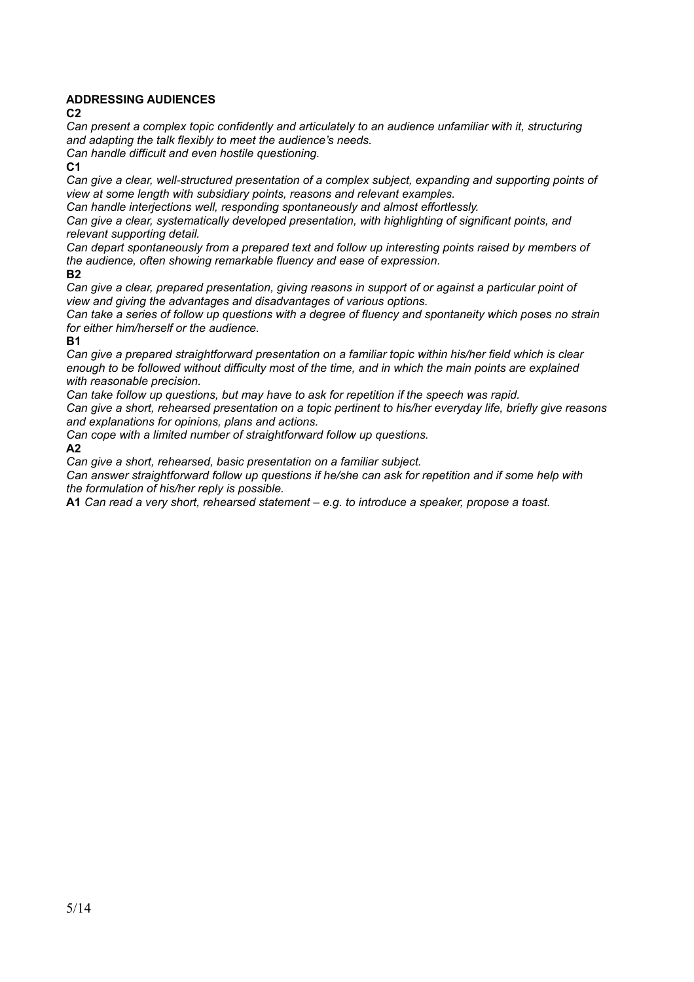## **ADDRESSING AUDIENCES**

**C2**

*Can present a complex topic confidently and articulately to an audience unfamiliar with it, structuring and adapting the talk flexibly to meet the audience's needs.*

*Can handle difficult and even hostile questioning.*

**C1**

*Can give a clear, well-structured presentation of a complex subject, expanding and supporting points of view at some length with subsidiary points, reasons and relevant examples.*

*Can handle interjections well, responding spontaneously and almost effortlessly.*

*Can give a clear, systematically developed presentation, with highlighting of significant points, and relevant supporting detail.*

*Can depart spontaneously from a prepared text and follow up interesting points raised by members of the audience, often showing remarkable fluency and ease of expression.*

**B2**

*Can give a clear, prepared presentation, giving reasons in support of or against a particular point of view and giving the advantages and disadvantages of various options.*

*Can take a series of follow up questions with a degree of fluency and spontaneity which poses no strain for either him/herself or the audience.*

**B1**

*Can give a prepared straightforward presentation on a familiar topic within his/her field which is clear enough to be followed without difficulty most of the time, and in which the main points are explained with reasonable precision.*

*Can take follow up questions, but may have to ask for repetition if the speech was rapid.*

*Can give a short, rehearsed presentation on a topic pertinent to his/her everyday life, briefly give reasons and explanations for opinions, plans and actions.*

*Can cope with a limited number of straightforward follow up questions.*

**A2**

*Can give a short, rehearsed, basic presentation on a familiar subject.*

*Can answer straightforward follow up questions if he/she can ask for repetition and if some help with the formulation of his/her reply is possible.*

**A1** *Can read a very short, rehearsed statement – e.g. to introduce a speaker, propose a toast.*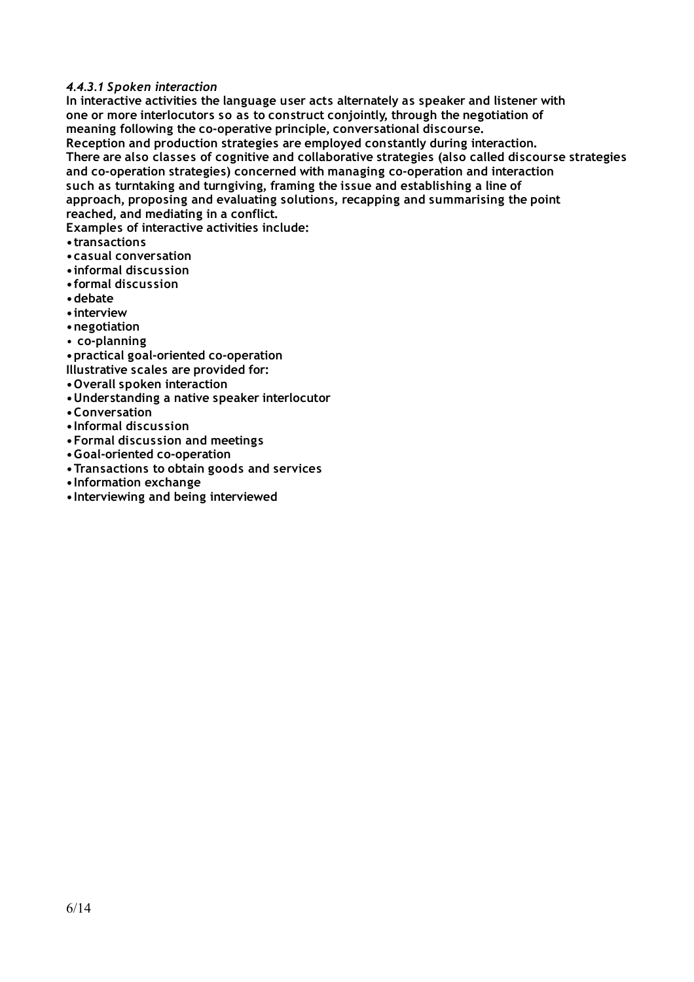# *4.4.3.1 Spoken interaction*

**In interactive activities the language user acts alternately as speaker and listener with one or more interlocutors so as to construct conjointly, through the negotiation of meaning following the co-operative principle, conversational discourse.**

**Reception and production strategies are employed constantly during interaction. There are also classes of cognitive and collaborative strategies (also called discourse strategies and co-operation strategies) concerned with managing co-operation and interaction such as turntaking and turngiving, framing the issue and establishing a line of approach, proposing and evaluating solutions, recapping and summarising the point reached, and mediating in a conflict.**

**Examples of interactive activities include:**

- **transactions**
- **casual conversation**
- **informal discussion**
- **formal discussion**
- **debate**
- **interview**
- **negotiation**
- **co-planning**

**• practical goal-oriented co-operation**

- **Illustrative scales are provided for:**
- **Overall spoken interaction**
- **Understanding a native speaker interlocutor**
- **Conversation**
- **Informal discussion**
- **Formal discussion and meetings**
- **Goal-oriented co-operation**
- **Transactions to obtain goods and services**
- **Information exchange**
- **Interviewing and being interviewed**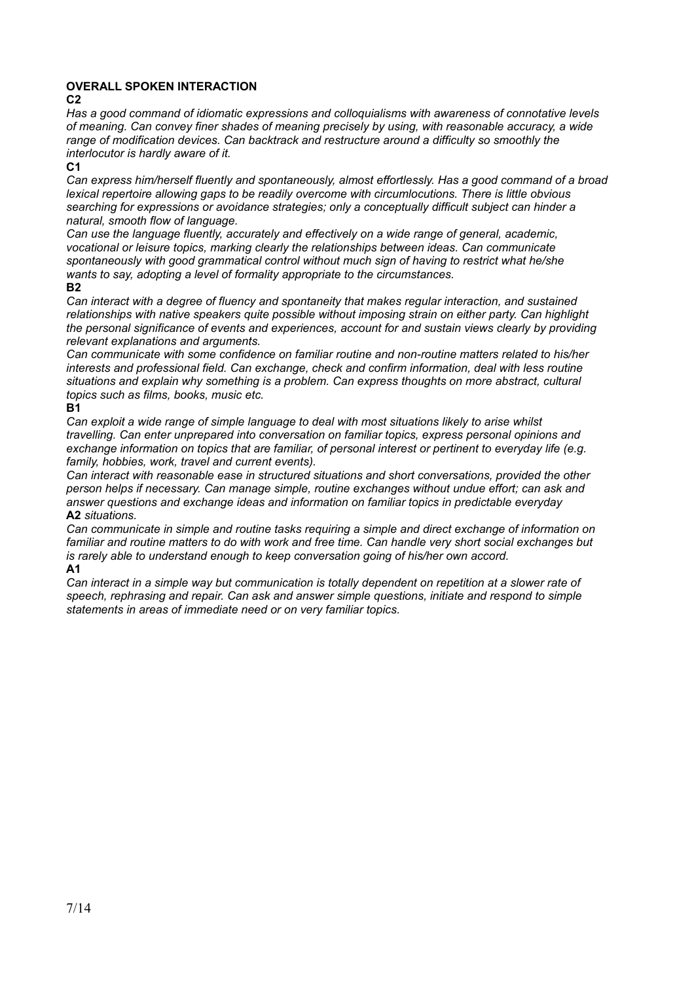# **OVERALL SPOKEN INTERACTION**

## **C2**

*Has a good command of idiomatic expressions and colloquialisms with awareness of connotative levels of meaning. Can convey finer shades of meaning precisely by using, with reasonable accuracy, a wide range of modification devices. Can backtrack and restructure around a difficulty so smoothly the interlocutor is hardly aware of it.*

## **C1**

*Can express him/herself fluently and spontaneously, almost effortlessly. Has a good command of a broad lexical repertoire allowing gaps to be readily overcome with circumlocutions. There is little obvious searching for expressions or avoidance strategies; only a conceptually difficult subject can hinder a natural, smooth flow of language.*

*Can use the language fluently, accurately and effectively on a wide range of general, academic, vocational or leisure topics, marking clearly the relationships between ideas. Can communicate spontaneously with good grammatical control without much sign of having to restrict what he/she wants to say, adopting a level of formality appropriate to the circumstances.*

### **B2**

*Can interact with a degree of fluency and spontaneity that makes regular interaction, and sustained relationships with native speakers quite possible without imposing strain on either party. Can highlight the personal significance of events and experiences, account for and sustain views clearly by providing relevant explanations and arguments.*

*Can communicate with some confidence on familiar routine and non-routine matters related to his/her interests and professional field. Can exchange, check and confirm information, deal with less routine situations and explain why something is a problem. Can express thoughts on more abstract, cultural topics such as films, books, music etc.*

# **B1**

*Can exploit a wide range of simple language to deal with most situations likely to arise whilst travelling. Can enter unprepared into conversation on familiar topics, express personal opinions and exchange information on topics that are familiar, of personal interest or pertinent to everyday life (e.g. family, hobbies, work, travel and current events).*

*Can interact with reasonable ease in structured situations and short conversations, provided the other person helps if necessary. Can manage simple, routine exchanges without undue effort; can ask and answer questions and exchange ideas and information on familiar topics in predictable everyday* **A2** *situations.*

*Can communicate in simple and routine tasks requiring a simple and direct exchange of information on familiar and routine matters to do with work and free time. Can handle very short social exchanges but is rarely able to understand enough to keep conversation going of his/her own accord.*

# **A1**

*Can interact in a simple way but communication is totally dependent on repetition at a slower rate of speech, rephrasing and repair. Can ask and answer simple questions, initiate and respond to simple statements in areas of immediate need or on very familiar topics.*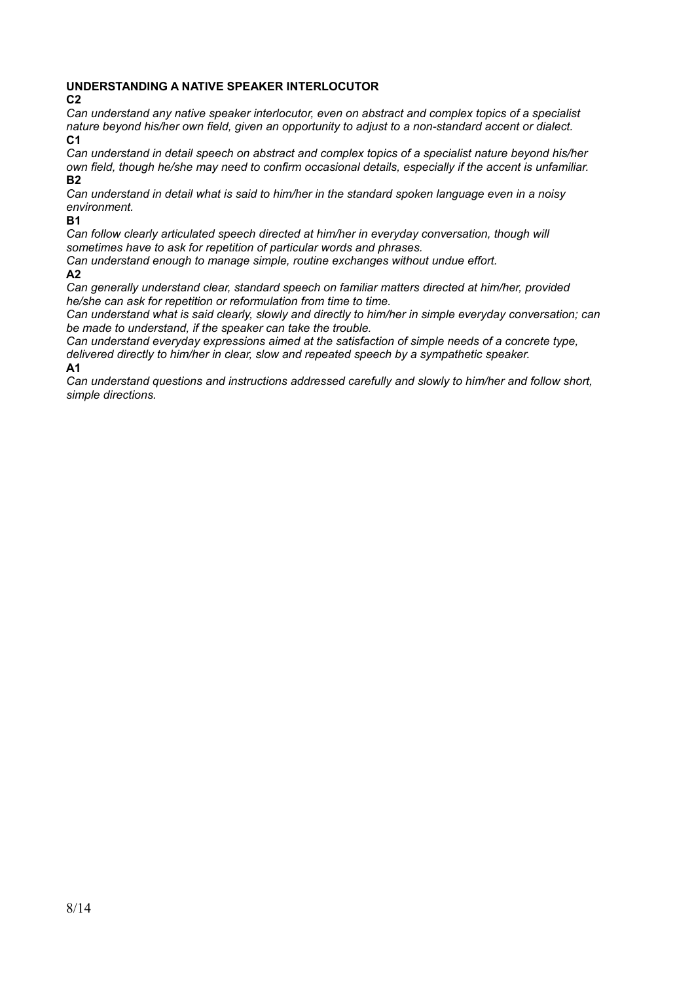# **UNDERSTANDING A NATIVE SPEAKER INTERLOCUTOR**

### **C2**

*Can understand any native speaker interlocutor, even on abstract and complex topics of a specialist nature beyond his/her own field, given an opportunity to adjust to a non-standard accent or dialect.* **C1**

*Can understand in detail speech on abstract and complex topics of a specialist nature beyond his/her own field, though he/she may need to confirm occasional details, especially if the accent is unfamiliar.* **B2**

*Can understand in detail what is said to him/her in the standard spoken language even in a noisy environment.*

## **B1**

*Can follow clearly articulated speech directed at him/her in everyday conversation, though will sometimes have to ask for repetition of particular words and phrases.*

*Can understand enough to manage simple, routine exchanges without undue effort.*

# **A2**

*Can generally understand clear, standard speech on familiar matters directed at him/her, provided he/she can ask for repetition or reformulation from time to time.*

*Can understand what is said clearly, slowly and directly to him/her in simple everyday conversation; can be made to understand, if the speaker can take the trouble.*

*Can understand everyday expressions aimed at the satisfaction of simple needs of a concrete type, delivered directly to him/her in clear, slow and repeated speech by a sympathetic speaker.*

# **A1**

*Can understand questions and instructions addressed carefully and slowly to him/her and follow short, simple directions.*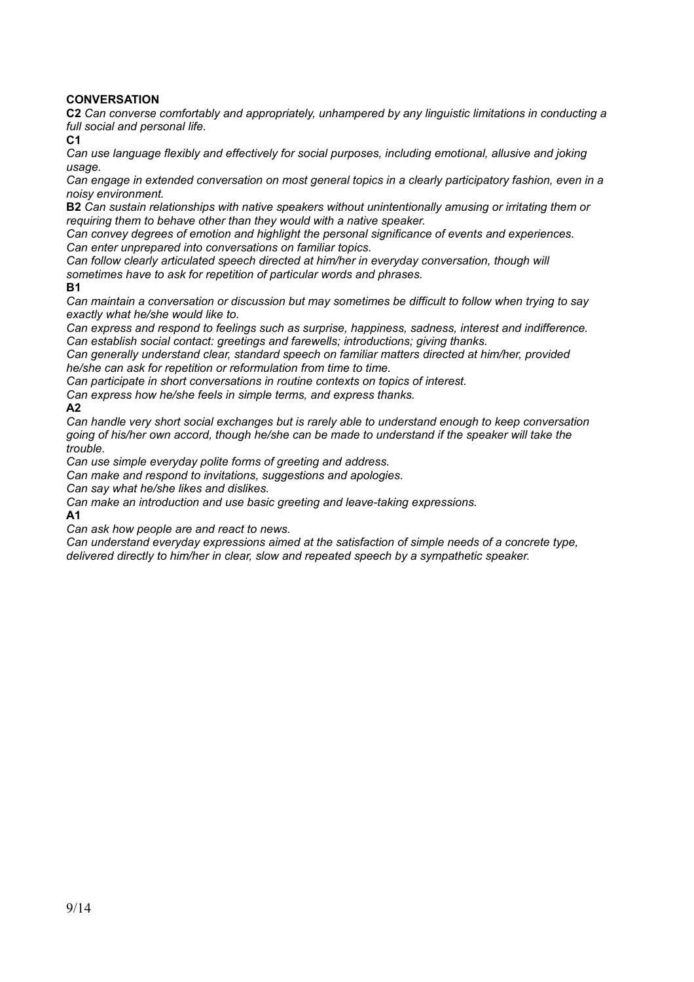### **CONVERSATION**

**C2** *Can converse comfortably and appropriately, unhampered by any linguistic limitations in conducting a full social and personal life.*

**C1**

*Can use language flexibly and effectively for social purposes, including emotional, allusive and joking usage.*

*Can engage in extended conversation on most general topics in a clearly participatory fashion, even in a noisy environment.*

**B2** *Can sustain relationships with native speakers without unintentionally amusing or irritating them or requiring them to behave other than they would with a native speaker.*

*Can convey degrees of emotion and highlight the personal significance of events and experiences. Can enter unprepared into conversations on familiar topics.*

*Can follow clearly articulated speech directed at him/her in everyday conversation, though will sometimes have to ask for repetition of particular words and phrases.*

**B1**

*Can maintain a conversation or discussion but may sometimes be difficult to follow when trying to say exactly what he/she would like to.*

*Can express and respond to feelings such as surprise, happiness, sadness, interest and indifference. Can establish social contact: greetings and farewells; introductions; giving thanks.*

*Can generally understand clear, standard speech on familiar matters directed at him/her, provided he/she can ask for repetition or reformulation from time to time.*

*Can participate in short conversations in routine contexts on topics of interest.*

*Can express how he/she feels in simple terms, and express thanks.*

**A2**

*Can handle very short social exchanges but is rarely able to understand enough to keep conversation going of his/her own accord, though he/she can be made to understand if the speaker will take the trouble.*

*Can use simple everyday polite forms of greeting and address.*

*Can make and respond to invitations, suggestions and apologies.*

*Can say what he/she likes and dislikes.*

*Can make an introduction and use basic greeting and leave-taking expressions.*

**A1**

*Can ask how people are and react to news.*

*Can understand everyday expressions aimed at the satisfaction of simple needs of a concrete type, delivered directly to him/her in clear, slow and repeated speech by a sympathetic speaker.*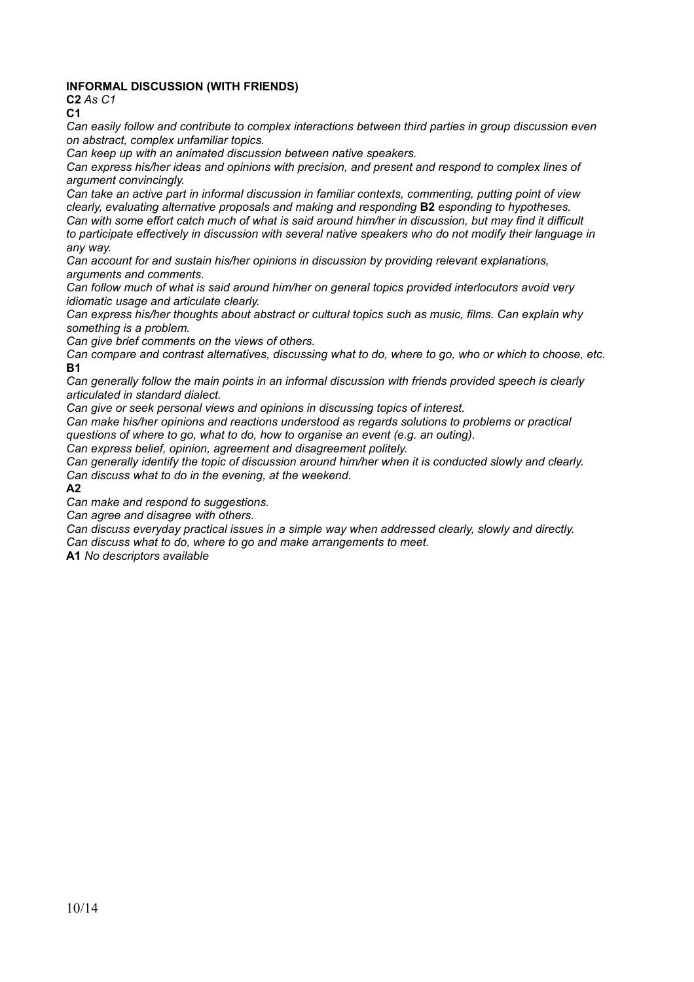## **INFORMAL DISCUSSION (WITH FRIENDS)**

**C2** *As C1* **C1**

*Can easily follow and contribute to complex interactions between third parties in group discussion even on abstract, complex unfamiliar topics.*

*Can keep up with an animated discussion between native speakers.*

*Can express his/her ideas and opinions with precision, and present and respond to complex lines of argument convincingly.*

*Can take an active part in informal discussion in familiar contexts, commenting, putting point of view clearly, evaluating alternative proposals and making and responding* **B2** *esponding to hypotheses. Can with some effort catch much of what is said around him/her in discussion, but may find it difficult*

*to participate effectively in discussion with several native speakers who do not modify their language in any way.*

*Can account for and sustain his/her opinions in discussion by providing relevant explanations, arguments and comments.*

*Can follow much of what is said around him/her on general topics provided interlocutors avoid very idiomatic usage and articulate clearly.*

*Can express his/her thoughts about abstract or cultural topics such as music, films. Can explain why something is a problem.*

*Can give brief comments on the views of others.*

*Can compare and contrast alternatives, discussing what to do, where to go, who or which to choose, etc.* **B1**

*Can generally follow the main points in an informal discussion with friends provided speech is clearly articulated in standard dialect.*

*Can give or seek personal views and opinions in discussing topics of interest.*

*Can make his/her opinions and reactions understood as regards solutions to problems or practical questions of where to go, what to do, how to organise an event (e.g. an outing).*

*Can express belief, opinion, agreement and disagreement politely.*

*Can generally identify the topic of discussion around him/her when it is conducted slowly and clearly. Can discuss what to do in the evening, at the weekend.*

**A2**

*Can make and respond to suggestions.*

*Can agree and disagree with others.*

*Can discuss everyday practical issues in a simple way when addressed clearly, slowly and directly. Can discuss what to do, where to go and make arrangements to meet.*

**A1** *No descriptors available*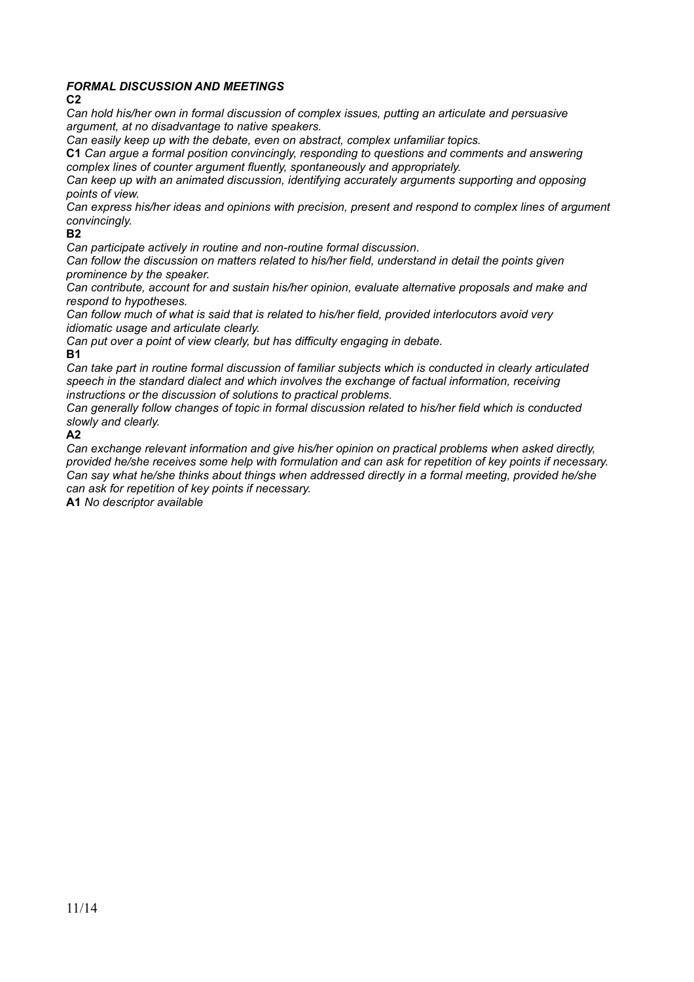# *FORMAL DISCUSSION AND MEETINGS*

**C2**

*Can hold his/her own in formal discussion of complex issues, putting an articulate and persuasive argument, at no disadvantage to native speakers.*

*Can easily keep up with the debate, even on abstract, complex unfamiliar topics.*

**C1** *Can argue a formal position convincingly, responding to questions and comments and answering complex lines of counter argument fluently, spontaneously and appropriately.*

*Can keep up with an animated discussion, identifying accurately arguments supporting and opposing points of view.*

*Can express his/her ideas and opinions with precision, present and respond to complex lines of argument convincingly.*

# **B**2

*Can participate actively in routine and non-routine formal discussion.*

*Can follow the discussion on matters related to his/her field, understand in detail the points given prominence by the speaker.*

*Can contribute, account for and sustain his/her opinion, evaluate alternative proposals and make and respond to hypotheses.*

*Can follow much of what is said that is related to his/her field, provided interlocutors avoid very idiomatic usage and articulate clearly.*

*Can put over a point of view clearly, but has difficulty engaging in debate.*

# **B1**

*Can take part in routine formal discussion of familiar subjects which is conducted in clearly articulated speech in the standard dialect and which involves the exchange of factual information, receiving instructions or the discussion of solutions to practical problems.*

*Can generally follow changes of topic in formal discussion related to his/her field which is conducted slowly and clearly.*

# **A2**

*Can exchange relevant information and give his/her opinion on practical problems when asked directly, provided he/she receives some help with formulation and can ask for repetition of key points if necessary. Can say what he/she thinks about things when addressed directly in a formal meeting, provided he/she can ask for repetition of key points if necessary.*

**A1** *No descriptor available*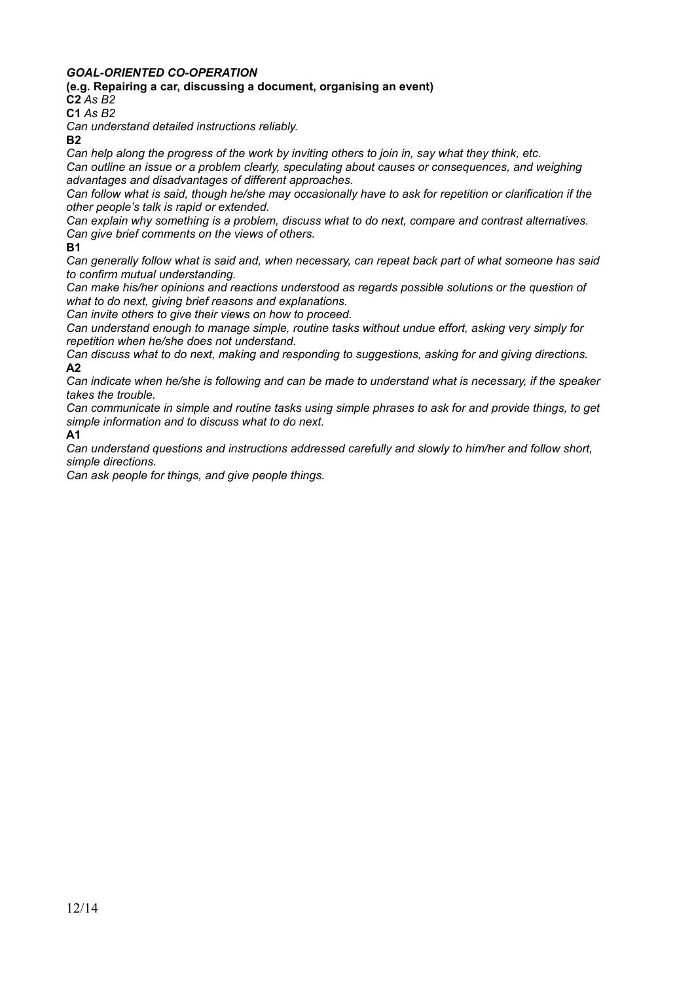### *GOAL-ORIENTED CO-OPERATION*

#### **(e.g. Repairing a car, discussing a document, organising an event)**

**C2** *As B2*

**C1** *As B2*

*Can understand detailed instructions reliably.*

**B2**

*Can help along the progress of the work by inviting others to join in, say what they think, etc.*

*Can outline an issue or a problem clearly, speculating about causes or consequences, and weighing advantages and disadvantages of different approaches.*

*Can follow what is said, though he/she may occasionally have to ask for repetition or clarification if the other people's talk is rapid or extended.*

*Can explain why something is a problem, discuss what to do next, compare and contrast alternatives. Can give brief comments on the views of others.*

#### **B1**

*Can generally follow what is said and, when necessary, can repeat back part of what someone has said to confirm mutual understanding.*

*Can make his/her opinions and reactions understood as regards possible solutions or the question of what to do next, giving brief reasons and explanations.*

*Can invite others to give their views on how to proceed.*

*Can understand enough to manage simple, routine tasks without undue effort, asking very simply for repetition when he/she does not understand.*

*Can discuss what to do next, making and responding to suggestions, asking for and giving directions.* **A2**

*Can indicate when he/she is following and can be made to understand what is necessary, if the speaker takes the trouble.*

*Can communicate in simple and routine tasks using simple phrases to ask for and provide things, to get simple information and to discuss what to do next.*

#### **A1**

*Can understand questions and instructions addressed carefully and slowly to him/her and follow short, simple directions.*

*Can ask people for things, and give people things.*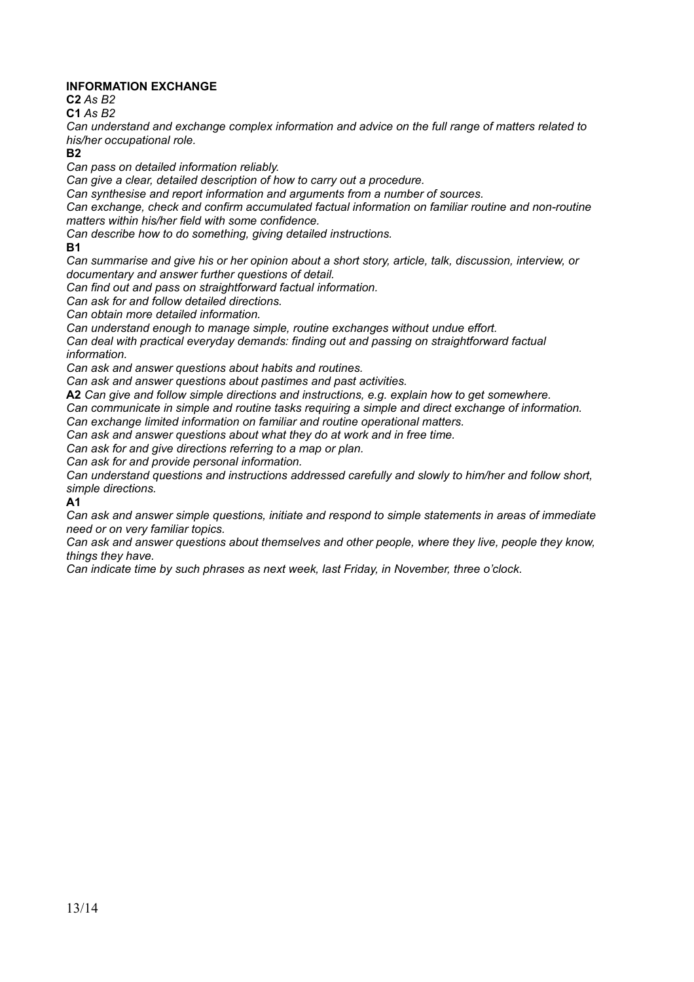# **INFORMATION EXCHANGE**

**C2** *As B2*

**C1** *As B2*

*Can understand and exchange complex information and advice on the full range of matters related to his/her occupational role.*

**B2**

*Can pass on detailed information reliably.*

*Can give a clear, detailed description of how to carry out a procedure.*

*Can synthesise and report information and arguments from a number of sources.*

*Can exchange, check and confirm accumulated factual information on familiar routine and non-routine matters within his/her field with some confidence.*

*Can describe how to do something, giving detailed instructions.*

**B1**

*Can summarise and give his or her opinion about a short story, article, talk, discussion, interview, or documentary and answer further questions of detail.*

*Can find out and pass on straightforward factual information.*

*Can ask for and follow detailed directions.*

*Can obtain more detailed information.*

*Can understand enough to manage simple, routine exchanges without undue effort.*

*Can deal with practical everyday demands: finding out and passing on straightforward factual information.*

*Can ask and answer questions about habits and routines.*

*Can ask and answer questions about pastimes and past activities.*

**A2** *Can give and follow simple directions and instructions, e.g. explain how to get somewhere.*

*Can communicate in simple and routine tasks requiring a simple and direct exchange of information.*

*Can exchange limited information on familiar and routine operational matters.*

*Can ask and answer questions about what they do at work and in free time.*

*Can ask for and give directions referring to a map or plan.*

*Can ask for and provide personal information.*

*Can understand questions and instructions addressed carefully and slowly to him/her and follow short, simple directions.*

**A1**

*Can ask and answer simple questions, initiate and respond to simple statements in areas of immediate need or on very familiar topics.*

*Can ask and answer questions about themselves and other people, where they live, people they know, things they have.*

*Can indicate time by such phrases as next week, last Friday, in November, three o'clock.*